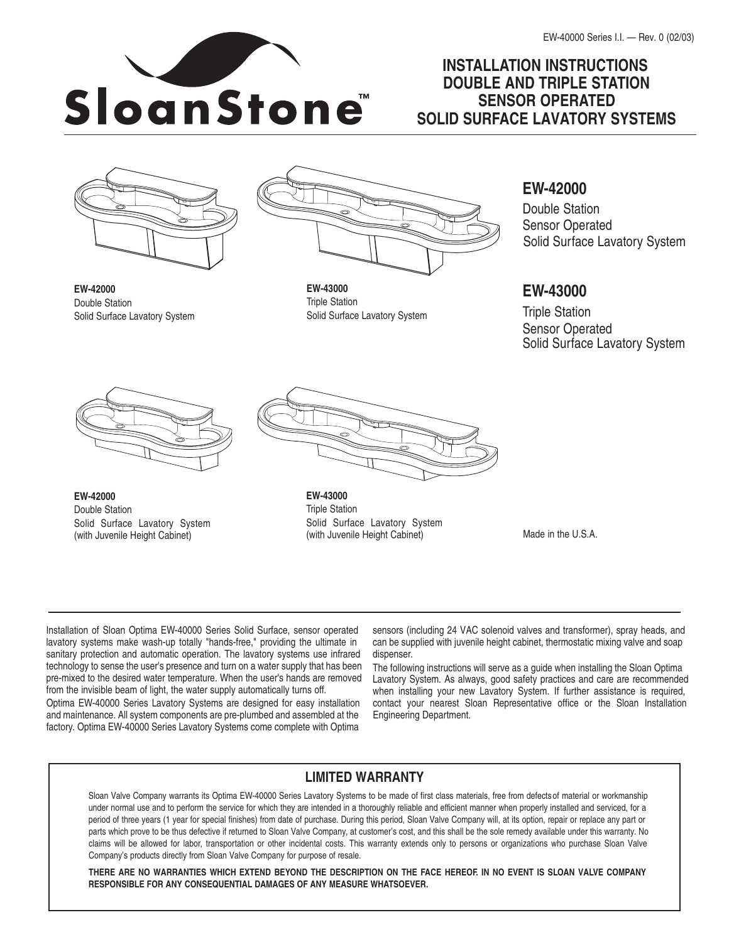# **INSTALLATION INSTRUCTIONS DOUBLE AND TRIPLE STATION SENSOR OPERATED SOLID SURFACE LAVATORY SYSTEMS**



Solid Surface Lavatory System

**EW-42000** Double Station



**EW-43000** Triple Station Solid Surface Lavatory System

# **EW-42000**

Double Station Sensor Operated Solid Surface Lavatory System

# **EW-43000**

Triple Station Sensor Operated Solid Surface Lavatory System



**EW-42000** Double Station Solid Surface Lavatory System (with Juvenile Height Cabinet)



**EW-43000** Triple Station Solid Surface Lavatory System (with Juvenile Height Cabinet)

Made in the U.S.A.

Installation of Sloan Optima EW-40000 Series Solid Surface, sensor operated lavatory systems make wash-up totally "hands-free," providing the ultimate in sanitary protection and automatic operation. The lavatory systems use infrared technology to sense the user's presence and turn on a water supply that has been pre-mixed to the desired water temperature. When the user's hands are removed from the invisible beam of light, the water supply automatically turns off.

Optima EW-40000 Series Lavatory Systems are designed for easy installation and maintenance. All system components are pre-plumbed and assembled at the factory. Optima EW-40000 Series Lavatory Systems come complete with Optima

sensors (including 24 VAC solenoid valves and transformer), spray heads, and can be supplied with juvenile height cabinet, thermostatic mixing valve and soap dispenser.

The following instructions will serve as a guide when installing the Sloan Optima Lavatory System. As always, good safety practices and care are recommended when installing your new Lavatory System. If further assistance is required, contact your nearest Sloan Representative office or the Sloan Installation Engineering Department.

# **LIMITED WARRANTY**

Sloan Valve Company warrants its Optima EW-40000 Series Lavatory Systems to be made of first class materials, free from defectsof material or workmanship under normal use and to perform the service for which they are intended in a thoroughly reliable and efficient manner when properly installed and serviced, for a period of three years (1 year for special finishes) from date of purchase. During this period, Sloan Valve Company will, at its option, repair or replace any part or parts which prove to be thus defective if returned to Sloan Valve Company, at customer's cost, and this shall be the sole remedy available under this warranty. No claims will be allowed for labor, transportation or other incidental costs. This warranty extends only to persons or organizations who purchase Sloan Valve Company's products directly from Sloan Valve Company for purpose of resale.

THERE ARE NO WARRANTIES WHICH EXTEND BEYOND THE DESCRIPTION ON THE FACE HEREOF. IN NO EVENT IS SLOAN VALVE COMPANY **RESPONSIBLE FOR ANY CONSEQUENTIAL DAMAGES OF ANY MEASURE WHATSOEVER.**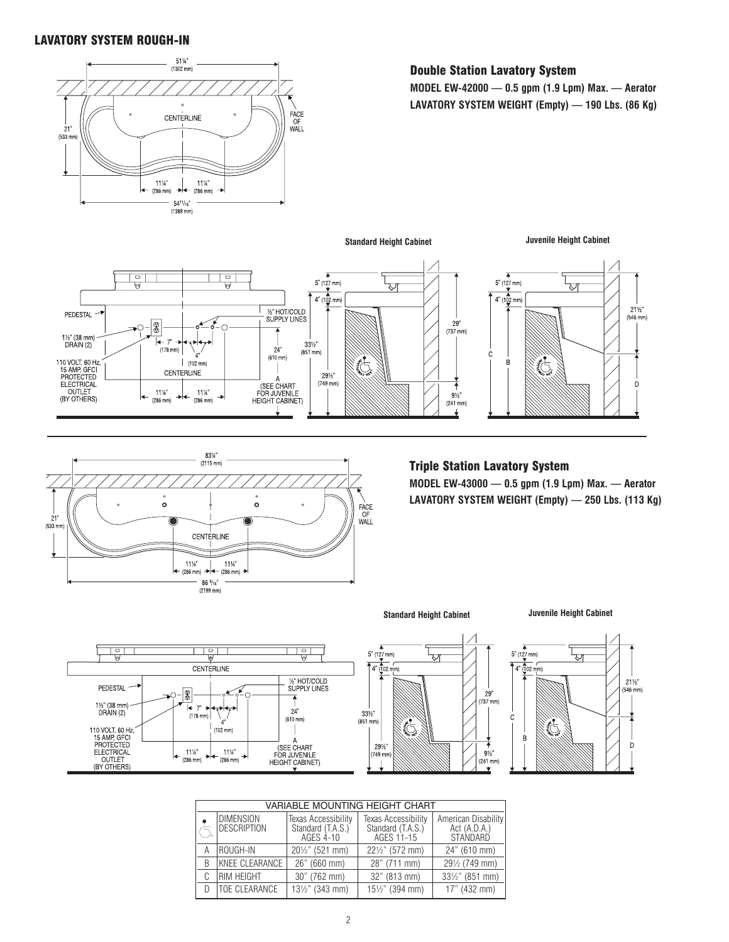## LAVATORY SYSTEM ROUGH-IN



#### Double Station Lavatory System

**MODEL EW-42000 — 0.5 gpm (1.9 Lpm) Max. — Aerator LAVATORY SYSTEM WEIGHT (Empty) — 190 Lbs. (86 Kg)**





#### Triple Station Lavatory System

**MODEL EW-43000 — 0.5 gpm (1.9 Lpm) Max. — Aerator LAVATORY SYSTEM WEIGHT (Empty) — 250 Lbs. (113 Kg)**



**Standard Height Cabinet Juvenile Height Cabinet**





| <b>VARIABLE MOUNTING HEIGHT CHART</b> |                                 |                                                       |                                                        |                                                 |  |
|---------------------------------------|---------------------------------|-------------------------------------------------------|--------------------------------------------------------|-------------------------------------------------|--|
|                                       | <b>DIMENSION</b><br>DESCRIPTION | Texas Accessibility<br>Standard (T.A.S.)<br>AGES 4-10 | Texas Accessibility<br>Standard (T.A.S.)<br>AGES 11-15 | American Disability<br>Act (A.D.A.)<br>STANDARD |  |
|                                       | ROUGH-IN                        | 201/2" (521 mm)                                       | 221/2" (572 mm)                                        | 24" (610 mm)                                    |  |
| B                                     | KNEE CLEARANCE                  | 26" (660 mm)                                          | 28" (711 mm)                                           | 291/2 (749 mm)                                  |  |
|                                       | RIM HEIGHT                      | 30" (762 mm)                                          | 32" (813 mm)                                           | 331/2" (851 mm)                                 |  |
|                                       | TOE CLEARANCE                   | 131/2" (343 mm)                                       | 151/2" (394 mm)                                        | 17" (432 mm)                                    |  |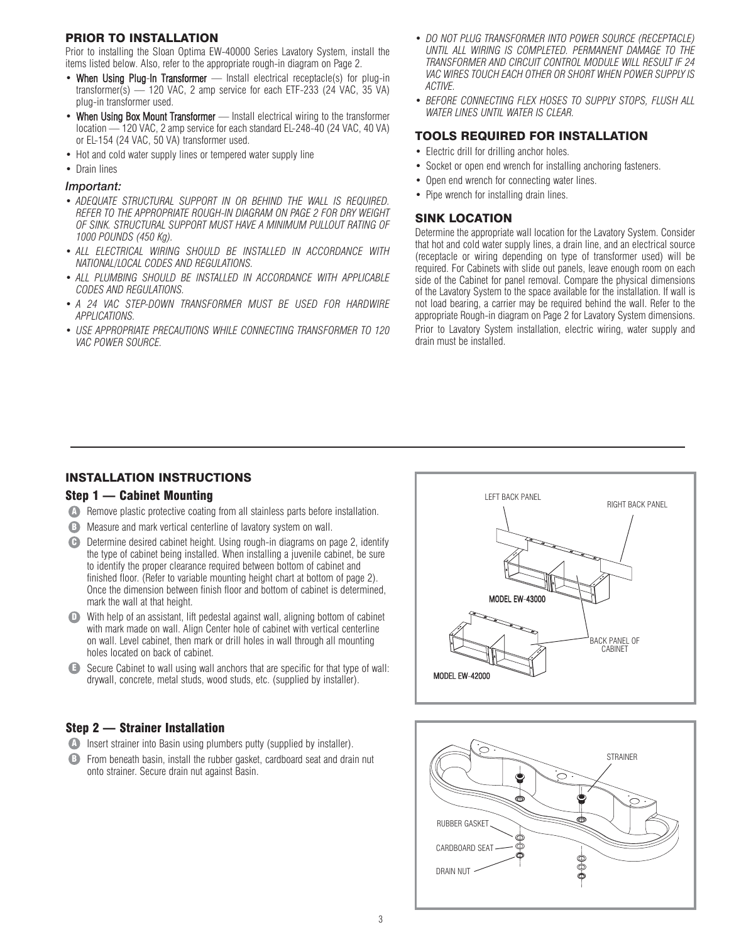#### PRIOR TO INSTALLATION

Prior to installing the Sloan Optima EW-40000 Series Lavatory System, install the items listed below. Also, refer to the appropriate rough-in diagram on Page 2.

- When Using Plug-In Transformer Install electrical receptacle(s) for plug-in transformer(s) — 120 VAC, 2 amp service for each ETF-233 (24 VAC, 35 VA) plug-in transformer used.
- When Using Box Mount Transformer Install electrical wiring to the transformer location — 120 VAC, 2 amp service for each standard EL-248-40 (24 VAC, 40 VA) or EL-154 (24 VAC, 50 VA) transformer used.
- Hot and cold water supply lines or tempered water supply line
- Drain lines

#### *Important:*

- *ADEQUATE STRUCTURAL SUPPORT IN OR BEHIND THE WALL IS REQUIRED. REFER TO THE APPROPRIATE ROUGH-IN DIAGRAM ON PAGE 2 FOR DRY WEIGHT OF SINK. STRUCTURAL SUPPORT MUST HAVE A MINIMUM PULLOUT RATING OF 1000 POUNDS (450 Kg).*
- *ALL ELECTRICAL WIRING SHOULD BE INSTALLED IN ACCORDANCE WITH NATIONAL/LOCAL CODES AND REGULATIONS.*
- *ALL PLUMBING SHOULD BE INSTALLED IN ACCORDANCE WITH APPLICABLE CODES AND REGULATIONS.*
- *A 24 VAC STEP-DOWN TRANSFORMER MUST BE USED FOR HARDWIRE APPLICATIONS.*
- *USE APPROPRIATE PRECAUTIONS WHILE CONNECTING TRANSFORMER TO 120 VAC POWER SOURCE.*
- *DO NOT PLUG TRANSFORMER INTO POWER SOURCE (RECEPTACLE) UNTIL ALL WIRING IS COMPLETED. PERMANENT DAMAGE TO THE TRANSFORMER AND CIRCUIT CONTROL MODULE WILL RESULT IF 24 VAC WIRES TOUCH EACH OTHER OR SHORT WHEN POWER SUPPLY IS ACTIVE.*
- *BEFORE CONNECTING FLEX HOSES TO SUPPLY STOPS, FLUSH ALL WATER LINES UNTIL WATER IS CLEAR.*

#### TOOLS REQUIRED FOR INSTALLATION

- Electric drill for drilling anchor holes.
- Socket or open end wrench for installing anchoring fasteners.
- Open end wrench for connecting water lines.
- Pipe wrench for installing drain lines.

#### SINK LOCATION

Determine the appropriate wall location for the Lavatory System. Consider that hot and cold water supply lines, a drain line, and an electrical source (receptacle or wiring depending on type of transformer used) will be required. For Cabinets with slide out panels, leave enough room on each side of the Cabinet for panel removal. Compare the physical dimensions of the Lavatory System to the space available for the installation. If wall is not load bearing, a carrier may be required behind the wall. Refer to the appropriate Rough-in diagram on Page 2 for Lavatory System dimensions. Prior to Lavatory System installation, electric wiring, water supply and drain must be installed.

#### INSTALLATION INSTRUCTIONS

### Step 1 — Cabinet Mounting

- **A** Remove plastic protective coating from all stainless parts before installation.
- B) Measure and mark vertical centerline of lavatory system on wall.
- **C** Determine desired cabinet height. Using rough-in diagrams on page 2, identify the type of cabinet being installed. When installing a juvenile cabinet, be sure to identify the proper clearance required between bottom of cabinet and finished floor. (Refer to variable mounting height chart at bottom of page 2). Once the dimension between finish floor and bottom of cabinet is determined, mark the wall at that height.
- D With help of an assistant, lift pedestal against wall, aligning bottom of cabinet with mark made on wall. Align Center hole of cabinet with vertical centerline on wall. Level cabinet, then mark or drill holes in wall through all mounting holes located on back of cabinet.
- **E** Secure Cabinet to wall using wall anchors that are specific for that type of wall: drywall, concrete, metal studs, wood studs, etc. (supplied by installer).

#### Step 2 — Strainer Installation

- **A** Insert strainer into Basin using plumbers putty (supplied by installer).
- **B** From beneath basin, install the rubber gasket, cardboard seat and drain nut onto strainer. Secure drain nut against Basin.



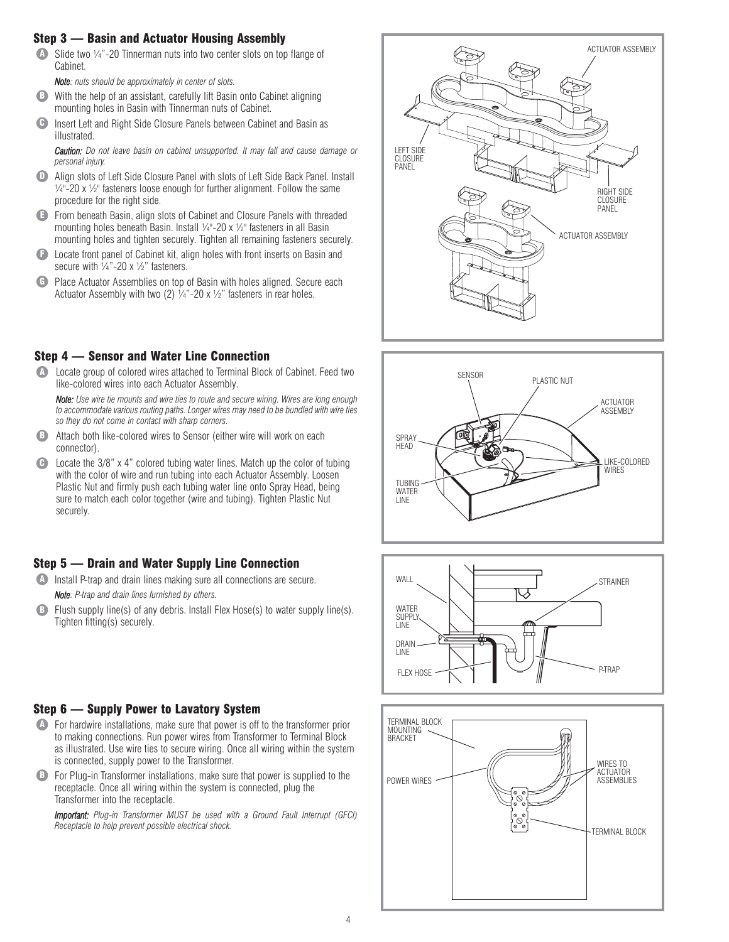### Step 3 — Basin and Actuator Housing Assembly

 $\blacksquare$  Slide two 1/4"-20 Tinnerman nuts into two center slots on top flange of Cabinet.

*Note: nuts should be approximately in center of slots.*

- **B** With the help of an assistant, carefully lift Basin onto Cabinet aligning mounting holes in Basin with Tinnerman nuts of Cabinet.
- Insert Left and Right Side Closure Panels between Cabinet and Basin as illustrated.  $\mathbf \Theta$

*Caution: Do not leave basin on cabinet unsupported. It may fall and cause damage or personal injury.*

- **D** Align slots of Left Side Closure Panel with slots of Left Side Back Panel. Install  $\frac{1}{4}$ "-20 x  $\frac{1}{2}$ " fasteners loose enough for further alignment. Follow the same procedure for the right side.
- **E** From beneath Basin, align slots of Cabinet and Closure Panels with threaded mounting holes beneath Basin. Install 1/4"-20 x 1/2" fasteners in all Basin mounting holes and tighten securely. Tighten all remaining fasteners securely.
- **E** Locate front panel of Cabinet kit, align holes with front inserts on Basin and secure with  $\frac{1}{4}$ "-20 x  $\frac{1}{2}$ " fasteners.
- **G** Place Actuator Assemblies on top of Basin with holes aligned. Secure each Actuator Assembly with two (2)  $\frac{1}{4}$  -20 x  $\frac{1}{2}$ " fasteners in rear holes.

## Step 4 — Sensor and Water Line Connection

**A** Locate group of colored wires attached to Terminal Block of Cabinet. Feed two like-colored wires into each Actuator Assembly.

*Note: Use wire tie mounts and wire ties to route and secure wiring. Wires are long enough to accommodate various routing paths. Longer wires may need to be bundled with wire ties so they do not come in contact with sharp corners.*

- **B** Attach both like-colored wires to Sensor (either wire will work on each connector).
- C Locate the 3/8" x 4" colored tubing water lines. Match up the color of tubing with the color of wire and run tubing into each Actuator Assembly. Loosen Plastic Nut and firmly push each tubing water line onto Spray Head, being sure to match each color together (wire and tubing). Tighten Plastic Nut securely.

## Step 5 — Drain and Water Supply Line Connection

**A** Install P-trap and drain lines making sure all connections are secure.

*Note: P-trap and drain lines furnished by others.*

Flush supply line(s) of any debris. Install Flex Hose(s) to water supply line(s). Tighten fitting(s) securely.  $\bullet$ 

## Step 6 — Supply Power to Lavatory System

- **A** For hardwire installations, make sure that power is off to the transformer prior to making connections. Run power wires from Transformer to Terminal Block as illustrated. Use wire ties to secure wiring. Once all wiring within the system is connected, supply power to the Transformer.
- **B** For Plug-in Transformer installations, make sure that power is supplied to the receptacle. Once all wiring within the system is connected, plug the Transformer into the receptacle.

*Important: Plug-in Transformer MUST be used with a Ground Fault Interrupt (GFCI) Receptacle to help prevent possible electrical shock.*







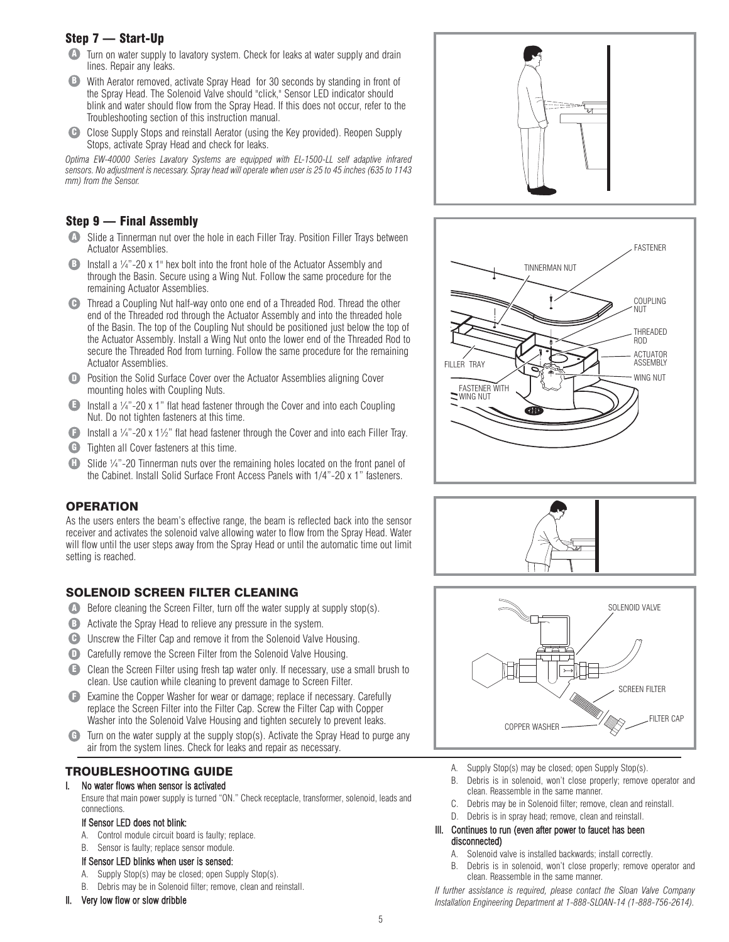# Step 7 — Start-Up

- **A** Turn on water supply to lavatory system. Check for leaks at water supply and drain lines. Repair any leaks.
- With Aerator removed, activate Spray Head for 30 seconds by standing in front of the Spray Head. The Solenoid Valve should "click," Sensor LED indicator should blink and water should flow from the Spray Head. If this does not occur, refer to the Troubleshooting section of this instruction manual. B
- **C** Close Supply Stops and reinstall Aerator (using the Key provided). Reopen Supply Stops, activate Spray Head and check for leaks.

*Optima EW-40000 Series Lavatory Systems are equipped with EL-1500-LL self adaptive infrared sensors. No adjustment is necessary. Spray head will operate when user is 25 to 45 inches (635 to 1143 mm) from the Sensor.*

## Step 9 — Final Assembly

- Slide a Tinnerman nut over the hole in each Filler Tray. Position Filler Trays between A Actuator Assemblies.
- Install a ¼"-20 x 1" hex bolt into the front hole of the Actuator Assembly and through the Basin. Secure using a Wing Nut. Follow the same procedure for the remaining Actuator Assemblies. B
- Thread a Coupling Nut half-way onto one end of a Threaded Rod. Thread the other C end of the Threaded rod through the Actuator Assembly and into the threaded hole of the Basin. The top of the Coupling Nut should be positioned just below the top of the Actuator Assembly. Install a Wing Nut onto the lower end of the Threaded Rod to secure the Threaded Rod from turning. Follow the same procedure for the remaining Actuator Assemblies.
- **D** Position the Solid Surface Cover over the Actuator Assemblies aligning Cover mounting holes with Coupling Nuts.
- $\blacksquare$  Install a  $\frac{1}{4}$  -20 x 1" flat head fastener through the Cover and into each Coupling Nut. Do not tighten fasteners at this time.
- **F** Install a  $\frac{1}{4}$  -20 x 1 $\frac{1}{2}$ " flat head fastener through the Cover and into each Filler Tray.
- **G** Tighten all Cover fasteners at this time.
- **H** Slide 1/4"-20 Tinnerman nuts over the remaining holes located on the front panel of the Cabinet. Install Solid Surface Front Access Panels with 1/4"-20 x 1" fasteners.

## **OPERATION**

As the users enters the beam's effective range, the beam is reflected back into the sensor receiver and activates the solenoid valve allowing water to flow from the Spray Head. Water will flow until the user steps away from the Spray Head or until the automatic time out limit setting is reached.

# SOLENOID SCREEN FILTER CLEANING

- Before cleaning the Screen Filter, turn off the water supply at supply stop(s). A
- **B** Activate the Spray Head to relieve any pressure in the system.
- **C** Unscrew the Filter Cap and remove it from the Solenoid Valve Housing.
- D Carefully remove the Screen Filter from the Solenoid Valve Housing.
- **E** Clean the Screen Filter using fresh tap water only. If necessary, use a small brush to clean. Use caution while cleaning to prevent damage to Screen Filter.
- Examine the Copper Washer for wear or damage; replace if necessary. Carefully F replace the Screen Filter into the Filter Cap. Screw the Filter Cap with Copper Washer into the Solenoid Valve Housing and tighten securely to prevent leaks.
- **G** Turn on the water supply at the supply stop(s). Activate the Spray Head to purge any air from the system lines. Check for leaks and repair as necessary.

# TROUBLESHOOTING GUIDE

# I. No water flows when sensor is activated

Ensure that main power supply is turned "ON." Check receptacle, transformer, solenoid, leads and connections.

#### If Sensor LED does not blink:

- A. Control module circuit board is faulty; replace.
- B. Sensor is faulty; replace sensor module.

#### If Sensor LED blinks when user is sensed:

- A. Supply Stop(s) may be closed; open Supply Stop(s).
- B. Debris may be in Solenoid filter; remove, clean and reinstall.

#### II. Very low flow or slow dribble









- A. Supply Stop(s) may be closed; open Supply Stop(s).
- B. Debris is in solenoid, won't close properly; remove operator and clean. Reassemble in the same manner.
- C. Debris may be in Solenoid filter; remove, clean and reinstall.
- D. Debris is in spray head; remove, clean and reinstall.

#### III. Continues to run (even after power to faucet has been disconnected)

- A. Solenoid valve is installed backwards; install correctly.
- B. Debris is in solenoid, won't close properly; remove operator and clean. Reassemble in the same manner.

*If further assistance is required, please contact the Sloan Valve Company Installation Engineering Department at 1-888-SLOAN-14 (1-888-756-2614).*